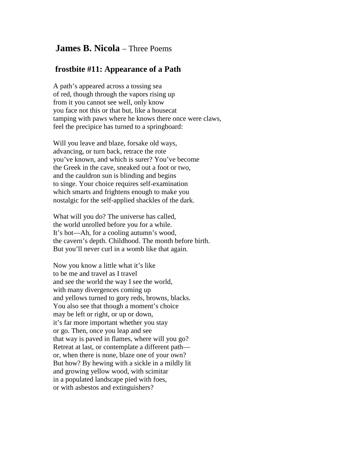## **James B. Nicola** – Three Poems

# **frostbite #11: Appearance of a Path**

A path's appeared across a tossing sea of red, though through the vapors rising up from it you cannot see well, only know you face not this or that but, like a housecat tamping with paws where he knows there once were claws, feel the precipice has turned to a springboard:

Will you leave and blaze, forsake old ways, advancing, or turn back, retrace the rote you've known, and which is surer? You've become the Greek in the cave, sneaked out a foot or two, and the cauldron sun is blinding and begins to singe. Your choice requires self-examination which smarts and frightens enough to make you nostalgic for the self-applied shackles of the dark.

What will you do? The universe has called, the world unrolled before you for a while. It's hot—Ah, for a cooling autumn's wood, the cavern's depth. Childhood. The month before birth. But you'll never curl in a womb like that again.

Now you know a little what it's like to be me and travel as I travel and see the world the way I see the world, with many divergences coming up and yellows turned to gory reds, browns, blacks. You also see that though a moment's choice may be left or right, or up or down, it's far more important whether you stay or go. Then, once you leap and see that way is paved in flames, where will you go? Retreat at last, or contemplate a different path or, when there is none, blaze one of your own? But how? By hewing with a sickle in a mildly lit and growing yellow wood, with scimitar in a populated landscape pied with foes, or with asbestos and extinguishers?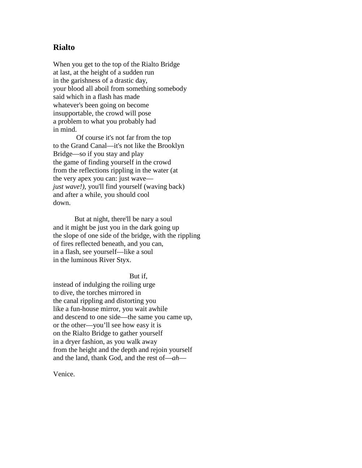### **Rialto**

When you get to the top of the Rialto Bridge at last, at the height of a sudden run in the garishness of a drastic day, your blood all aboil from something somebody said which in a flash has made whatever's been going on become insupportable, the crowd will pose a problem to what you probably had in mind.

 Of course it's not far from the top to the Grand Canal—it's not like the Brooklyn Bridge—so if you stay and play the game of finding yourself in the crowd from the reflections rippling in the water (at the very apex you can: just wave *just wave!),* you'll find yourself (waving back) and after a while, you should cool down.

 But at night, there'll be nary a soul and it might be just you in the dark going up the slope of one side of the bridge, with the rippling of fires reflected beneath, and you can, in a flash, see yourself—like a soul in the luminous River Styx.

#### But if,

instead of indulging the roiling urge to dive, the torches mirrored in the canal rippling and distorting you like a fun-house mirror, you wait awhile and descend to one side—the same you came up, or the other—you'll see how easy it is on the Rialto Bridge to gather yourself in a dryer fashion, as you walk away from the height and the depth and rejoin yourself and the land, thank God, and the rest of—*ah*—

Venice.